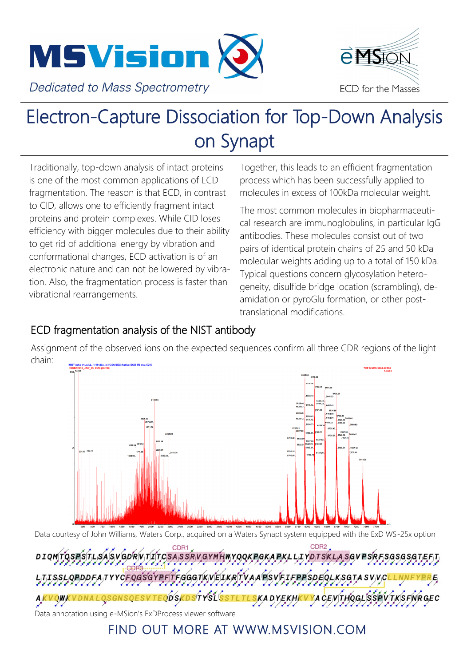



## Electron-Capture Dissociation for Top-Down Analysis on Synapt

Traditionally, top-down analysis of intact proteins is one of the most common applications of ECD fragmentation. The reason is that ECD, in contrast to CID, allows one to efficiently fragment intact proteins and protein complexes. While CID loses efficiency with bigger molecules due to their ability to get rid of additional energy by vibration and conformational changes, ECD activation is of an electronic nature and can not be lowered by vibration. Also, the fragmentation process is faster than vibrational rearrangements.

Together, this leads to an efficient fragmentation process which has been successfully applied to molecules in excess of 100kDa molecular weight.

The most common molecules in biopharmaceutical research are immunoglobulins, in particular IgG antibodies. These molecules consist out of two pairs of identical protein chains of 25 and 50 kDa molecular weights adding up to a total of 150 kDa. Typical questions concern glycosylation heterogeneity, disulfide bridge location (scrambling), deamidation or pyroGlu formation, or other posttranslational modifications.

## ECD fragmentation analysis of the NIST antibody

Assignment of the observed ions on the expected sequences confirm all three CDR regions of the light chain:



Data courtesy of John Williams, Waters Corp., acquired on a Waters Synapt system equipped with the ExD WS-25x option

CDR1<br>DIQMTQSPSTLSASVGDRVTITCSASSRVGYMHWYQQKPGKAPKLLIYDTSKLASGVPSRFSGSGSGTEFT A TYPE A TYPE COMPLITE COAT WEITHOLD THE A DEVETED PORTOL KSC TA SUVOLIA we support more than 300 instruments across Europe in Academia, and accounts across Europe in Academia, and ac AKVQWKVDNALQSGNSQESVTEQDSKDSTYSLSSTLTLSKADYEKHKVYACEVTHQGLSSSPVTKSFNRGEC

Data annotation using e-MSion's ExDProcess viewer software

## FIND OUT MORE AT WWW.MSVISION.COM